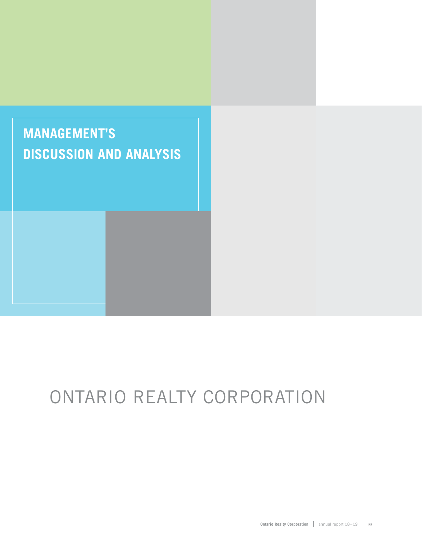

# ONTARIO REALTY CORPORATION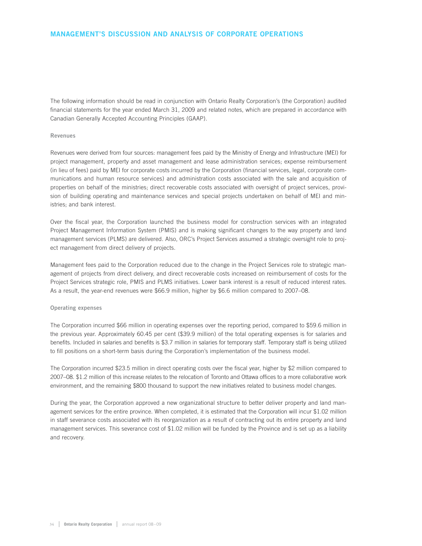## **MANAGEMENT'S DISCUSSION AND ANALYSIS OF CORPORATE OPERATIONS**

The following information should be read in conjunction with Ontario Realty Corporation's (the Corporation) audited financial statements for the year ended March 31, 2009 and related notes, which are prepared in accordance with Canadian Generally Accepted Accounting Principles (GAAP).

## **Revenues**

Revenues were derived from four sources: management fees paid by the Ministry of Energy and Infrastructure (MEI) for project management, property and asset management and lease administration services; expense reimbursement (in lieu of fees) paid by MEI for corporate costs incurred by the Corporation (financial services, legal, corporate communications and human resource services) and administration costs associated with the sale and acquisition of properties on behalf of the ministries; direct recoverable costs associated with oversight of project services, provision of building operating and maintenance services and special projects undertaken on behalf of MEI and ministries; and bank interest.

Over the fiscal year, the Corporation launched the business model for construction services with an integrated Project Management Information System (PMIS) and is making significant changes to the way property and land management services (PLMS) are delivered. Also, ORC's Project Services assumed a strategic oversight role to project management from direct delivery of projects.

Management fees paid to the Corporation reduced due to the change in the Project Services role to strategic management of projects from direct delivery, and direct recoverable costs increased on reimbursement of costs for the Project Services strategic role, PMIS and PLMS initiatives. Lower bank interest is a result of reduced interest rates. As a result, the year-end revenues were \$66.9 million, higher by \$6.6 million compared to 2007–08.

#### **Operating expenses**

The Corporation incurred \$66 million in operating expenses over the reporting period, compared to \$59.6 million in the previous year. Approximately 60.45 per cent (\$39.9 million) of the total operating expenses is for salaries and benefits. Included in salaries and benefits is \$3.7 million in salaries for temporary staff. Temporary staff is being utilized to fill positions on a short-term basis during the Corporation's implementation of the business model.

The Corporation incurred \$23.5 million in direct operating costs over the fiscal year, higher by \$2 million compared to 2007–08. \$1.2 million of this increase relates to the relocation of Toronto and Ottawa offices to a more collaborative work environment, and the remaining \$800 thousand to support the new initiatives related to business model changes.

During the year, the Corporation approved a new organizational structure to better deliver property and land management services for the entire province. When completed, it is estimated that the Corporation will incur \$1.02 million in staff severance costs associated with its reorganization as a result of contracting out its entire property and land management services. This severance cost of \$1.02 million will be funded by the Province and is set up as a liability and recovery.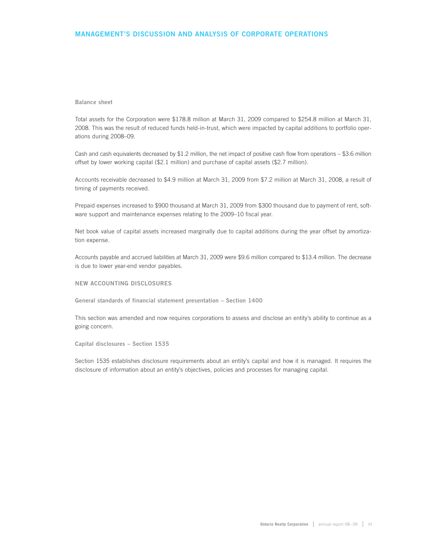## **MANAGEMENT'S DISCUSSION AND ANALYSIS OF CORPORATE OPERATIONS**

#### **Balance sheet**

Total assets for the Corporation were \$178.8 million at March 31, 2009 compared to \$254.8 million at March 31, 2008. This was the result of reduced funds held-in-trust, which were impacted by capital additions to portfolio operations during 2008–09.

Cash and cash equivalents decreased by  $$1.2$  million, the net impact of positive cash flow from operations  $-$  \$3.6 million offset by lower working capital (\$2.1 million) and purchase of capital assets (\$2.7 million).

Accounts receivable decreased to \$4.9 million at March 31, 2009 from \$7.2 million at March 31, 2008, a result of timing of payments received.

Prepaid expenses increased to \$900 thousand at March 31, 2009 from \$300 thousand due to payment of rent, software support and maintenance expenses relating to the 2009–10 fiscal year.

Net book value of capital assets increased marginally due to capital additions during the year offset by amortization expense.

Accounts payable and accrued liabilities at March 31, 2009 were \$9.6 million compared to \$13.4 million. The decrease is due to lower year-end vendor payables.

#### **NEW ACCOUNTING DISCLOSURES**

**General standards of financial statement presentation – Section 1400**

This section was amended and now requires corporations to assess and disclose an entity's ability to continue as a going concern.

**Capital disclosures – Section 1535**

Section 1535 establishes disclosure requirements about an entity's capital and how it is managed. It requires the disclosure of information about an entity's objectives, policies and processes for managing capital.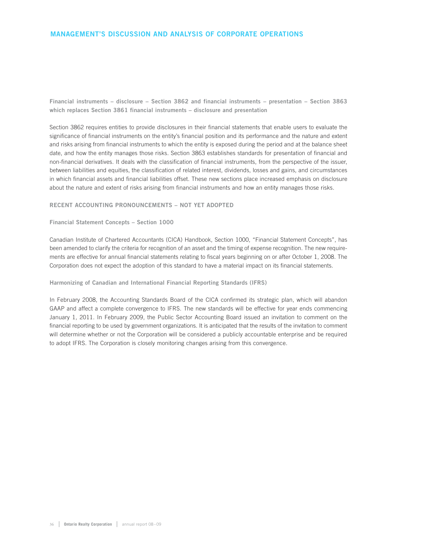## **MANAGEMENT'S DISCUSSION AND ANALYSIS OF CORPORATE OPERATIONS**

**Financial instruments – disclosure – Section 3862 and financial instruments – presentation – Section 3863 which replaces Section 3861 financial instruments – disclosure and presentation** 

Section 3862 requires entities to provide disclosures in their financial statements that enable users to evaluate the significance of financial instruments on the entity's financial position and its performance and the nature and extent and risks arising from financial instruments to which the entity is exposed during the period and at the balance sheet date, and how the entity manages those risks. Section 3863 establishes standards for presentation of financial and non-financial derivatives. It deals with the classification of financial instruments, from the perspective of the issuer, between liabilities and equities, the classification of related interest, dividends, losses and gains, and circumstances in which financial assets and financial liabilities offset. These new sections place increased emphasis on disclosure about the nature and extent of risks arising from financial instruments and how an entity manages those risks.

## **RECENT ACCOUNTING PRONOUNCEMENTS – NOT YET ADOPTED**

**Financial Statement Concepts – Section 1000**

Canadian Institute of Chartered Accountants (CICA) Handbook, Section 1000, "Financial Statement Concepts", has been amended to clarify the criteria for recognition of an asset and the timing of expense recognition. The new requirements are effective for annual financial statements relating to fiscal years beginning on or after October 1, 2008. The Corporation does not expect the adoption of this standard to have a material impact on its financial statements.

#### **Harmonizing of Canadian and International Financial Reporting Standards (IFRS)**

In February 2008, the Accounting Standards Board of the CICA confirmed its strategic plan, which will abandon GAAP and affect a complete convergence to IFRS. The new standards will be effective for year ends commencing January 1, 2011. In February 2009, the Public Sector Accounting Board issued an invitation to comment on the financial reporting to be used by government organizations. It is anticipated that the results of the invitation to comment will determine whether or not the Corporation will be considered a publicly accountable enterprise and be required to adopt IFRS. The Corporation is closely monitoring changes arising from this convergence.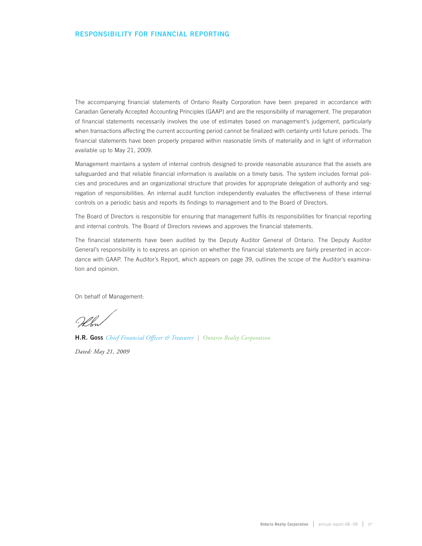The accompanying financial statements of Ontario Realty Corporation have been prepared in accordance with Canadian Generally Accepted Accounting Principles (GAAP) and are the responsibility of management. The preparation of financial statements necessarily involves the use of estimates based on management's judgement, particularly when transactions affecting the current accounting period cannot be finalized with certainty until future periods. The financial statements have been properly prepared within reasonable limits of materiality and in light of information available up to May 21, 2009.

Management maintains a system of internal controls designed to provide reasonable assurance that the assets are safeguarded and that reliable financial information is available on a timely basis. The system includes formal policies and procedures and an organizational structure that provides for appropriate delegation of authority and segregation of responsibilities. An internal audit function independently evaluates the effectiveness of these internal controls on a periodic basis and reports its findings to management and to the Board of Directors.

The Board of Directors is responsible for ensuring that management fulfils its responsibilities for financial reporting and internal controls. The Board of Directors reviews and approves the financial statements.

The financial statements have been audited by the Deputy Auditor General of Ontario. The Deputy Auditor General's responsibility is to express an opinion on whether the financial statements are fairly presented in accordance with GAAP. The Auditor's Report, which appears on page 39, outlines the scope of the Auditor's examination and opinion.

On behalf of Management:

**H.R. Goss** *Chief Financial Officer & Treasurer | Ontario Realty Corporation Dated: May 21, 2009*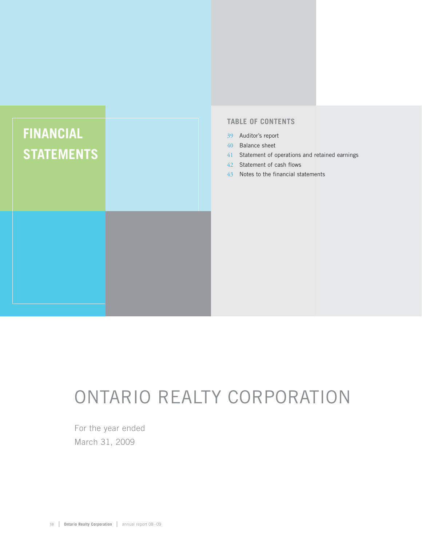## **FINANCIAL STATEMENTS**

## **TABLE OF CONTENTS**

- 39 Auditor's report
- 40 Balance sheet
- 41 Statement of operations and retained earnings
- 42 Statement of cash flows
- 43 Notes to the financial statements

## ONTARIO REALTY CORPORATION

For the year ended March 31, 2009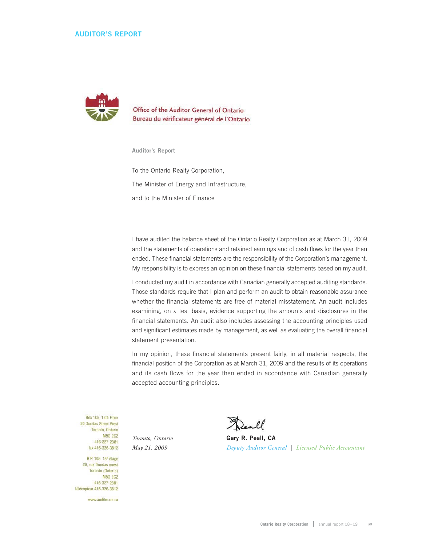## **AUDITOR'S REPORT**



Office of the Auditor General of Ontario Bureau du vérificateur général de l'Ontario

**Auditor's Report**

To the Ontario Realty Corporation, The Minister of Energy and Infrastructure, and to the Minister of Finance

I have audited the balance sheet of the Ontario Realty Corporation as at March 31, 2009 and the statements of operations and retained earnings and of cash flows for the year then ended. These financial statements are the responsibility of the Corporation's management. My responsibility is to express an opinion on these financial statements based on my audit.

I conducted my audit in accordance with Canadian generally accepted auditing standards. Those standards require that I plan and perform an audit to obtain reasonable assurance whether the financial statements are free of material misstatement. An audit includes examining, on a test basis, evidence supporting the amounts and disclosures in the financial statements. An audit also includes assessing the accounting principles used and significant estimates made by management, as well as evaluating the overall financial statement presentation.

In my opinion, these financial statements present fairly, in all material respects, the financial position of the Corporation as at March 31, 2009 and the results of its operations and its cash flows for the year then ended in accordance with Canadian generally accepted accounting principles.

Box 105, 15th Floor 20 Dundas Street West Toronto, Ontario **M5G 2C2** 416-327-2381 fax 416-326-3812

B.P. 105, 15<sup>e</sup> étage 20, rue Dundas ouest Toronto (Ontario) M5G 2C2 416-327-2381 télécopieur 416-326-3812

www.auditor.on.ca

*Toronto, Ontario* **Gary R. Peall, CA**  *May 21, 2009 Deputy Auditor General | Licensed Public Accountant*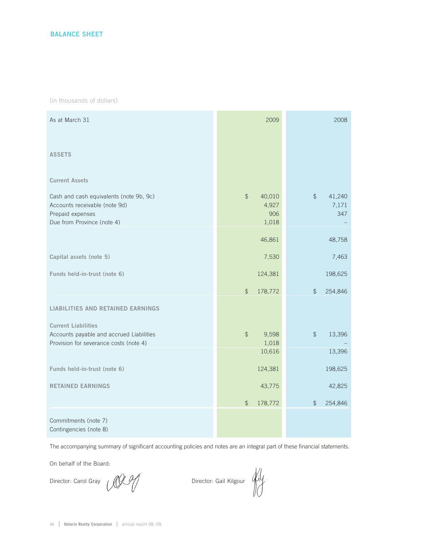(in thousands of dollars)

| As at March 31                                                                                                             | 2009                                             | 2008                                    |
|----------------------------------------------------------------------------------------------------------------------------|--------------------------------------------------|-----------------------------------------|
| <b>ASSETS</b>                                                                                                              |                                                  |                                         |
| <b>Current Assets</b>                                                                                                      |                                                  |                                         |
| Cash and cash equivalents (note 9b, 9c)<br>Accounts receivable (note 9d)<br>Prepaid expenses<br>Due from Province (note 4) | $\frac{1}{2}$<br>40,010<br>4,927<br>906<br>1,018 | $\frac{1}{2}$<br>41,240<br>7,171<br>347 |
|                                                                                                                            | 46,861                                           | 48,758                                  |
| Capital assets (note 5)                                                                                                    | 7,530                                            | 7,463                                   |
| Funds held-in-trust (note 6)                                                                                               | 124,381                                          | 198,625                                 |
|                                                                                                                            | $\frac{1}{2}$<br>178,772                         | $\frac{1}{2}$<br>254,846                |
| <b>LIABILITIES AND RETAINED EARNINGS</b>                                                                                   |                                                  |                                         |
| <b>Current Liabilities</b><br>Accounts payable and accrued Liabilities<br>Provision for severance costs (note 4)           | $\frac{1}{2}$<br>9,598<br>1,018                  | $\frac{1}{2}$<br>13,396                 |
|                                                                                                                            | 10,616                                           | 13,396                                  |
| Funds held-in-trust (note 6)                                                                                               | 124,381                                          | 198,625                                 |
| <b>RETAINED EARNINGS</b>                                                                                                   | 43,775                                           | 42,825                                  |
|                                                                                                                            | 178,772<br>\$                                    | 254,846<br>$\mathfrak{P}$               |
| Commitments (note 7)<br>Contingencies (note 8)                                                                             |                                                  |                                         |

The accompanying summary of significant accounting policies and notes are an integral part of these financial statements.

On behalf of the Board:

Director: Carol Gray *Director*: Gail Kilgour *Ally*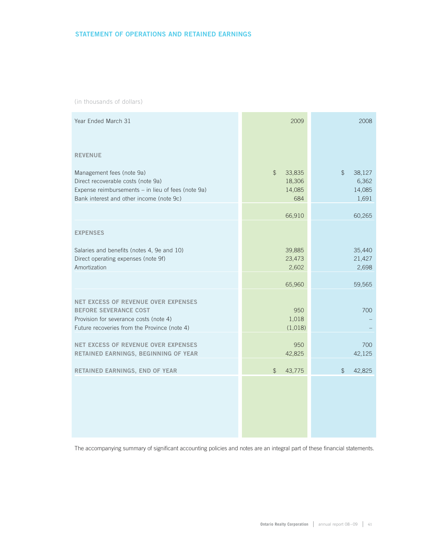## **STATEMENT OF OPERATIONS AND RETAINED EARNINGS**

(in thousands of dollars)

| Year Ended March 31                                                                                                                                                  | 2009                                               | 2008                                     |
|----------------------------------------------------------------------------------------------------------------------------------------------------------------------|----------------------------------------------------|------------------------------------------|
| <b>REVENUE</b>                                                                                                                                                       |                                                    |                                          |
| Management fees (note 9a)<br>Direct recoverable costs (note 9a)<br>Expense reimbursements - in lieu of fees (note 9a)<br>Bank interest and other income (note 9c)    | 33,835<br>$\frac{1}{2}$<br>18,306<br>14,085<br>684 | 38,127<br>\$<br>6,362<br>14,085<br>1,691 |
|                                                                                                                                                                      | 66,910                                             | 60,265                                   |
| <b>EXPENSES</b>                                                                                                                                                      |                                                    |                                          |
| Salaries and benefits (notes 4, 9e and 10)<br>Direct operating expenses (note 9f)<br>Amortization                                                                    | 39,885<br>23,473<br>2,602                          | 35,440<br>21,427<br>2,698                |
|                                                                                                                                                                      | 65,960                                             | 59,565                                   |
| <b>NET EXCESS OF REVENUE OVER EXPENSES</b><br><b>BEFORE SEVERANCE COST</b><br>Provision for severance costs (note 4)<br>Future recoveries from the Province (note 4) | 950<br>1,018<br>(1,018)                            | 700                                      |
| NET EXCESS OF REVENUE OVER EXPENSES<br>RETAINED EARNINGS, BEGINNING OF YEAR                                                                                          | 950<br>42,825                                      | 700<br>42,125                            |
| RETAINED EARNINGS, END OF YEAR                                                                                                                                       | $\frac{1}{2}$<br>43,775                            | 42,825<br>$\mathfrak{P}$                 |
|                                                                                                                                                                      |                                                    |                                          |

The accompanying summary of significant accounting policies and notes are an integral part of these financial statements.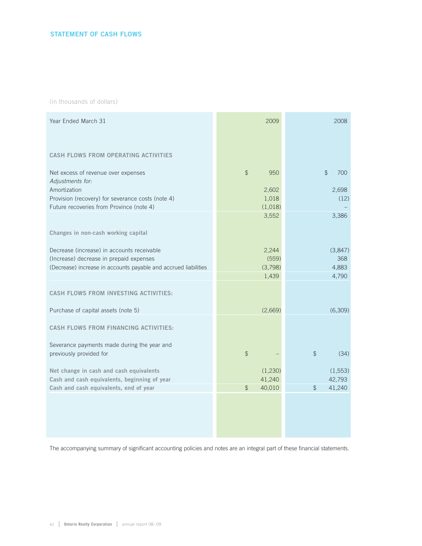(in thousands of dollars)

| Year Ended March 31                                                                                                                                                      | 2009                                              | 2008                                   |
|--------------------------------------------------------------------------------------------------------------------------------------------------------------------------|---------------------------------------------------|----------------------------------------|
| <b>CASH FLOWS FROM OPERATING ACTIVITIES</b>                                                                                                                              |                                                   |                                        |
| Net excess of revenue over expenses<br>Adjustments for:<br>Amortization<br>Provision (recovery) for severance costs (note 4)<br>Future recoveries from Province (note 4) | $\frac{1}{2}$<br>950<br>2,602<br>1,018<br>(1,018) | 700<br>$\mathfrak{D}$<br>2,698<br>(12) |
| Changes in non-cash working capital                                                                                                                                      | 3,552                                             | 3,386                                  |
| Decrease (increase) in accounts receivable<br>(Increase) decrease in prepaid expenses<br>(Decrease) increase in accounts payable and accrued liabilities                 | 2,244<br>(559)<br>(3,798)<br>1,439                | (3,847)<br>368<br>4,883<br>4,790       |
| <b>CASH FLOWS FROM INVESTING ACTIVITIES:</b>                                                                                                                             |                                                   |                                        |
| Purchase of capital assets (note 5)                                                                                                                                      | (2,669)                                           | (6,309)                                |
| <b>CASH FLOWS FROM FINANCING ACTIVITIES:</b>                                                                                                                             |                                                   |                                        |
| Severance payments made during the year and<br>previously provided for                                                                                                   | $\frac{1}{2}$                                     | \$<br>(34)                             |
| Net change in cash and cash equivalents<br>Cash and cash equivalents, beginning of year                                                                                  | (1,230)<br>41,240                                 | (1, 553)<br>42,793                     |
| Cash and cash equivalents, end of year                                                                                                                                   | 40,010<br>$\mathcal{P}$                           | 41,240<br>$\frac{1}{2}$                |
|                                                                                                                                                                          |                                                   |                                        |
|                                                                                                                                                                          |                                                   |                                        |

The accompanying summary of significant accounting policies and notes are an integral part of these financial statements.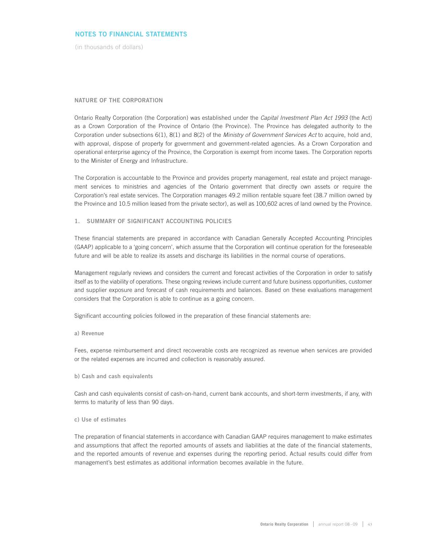(in thousands of dollars)

#### **NATURE OF THE CORPORATION**

Ontario Realty Corporation (the Corporation) was established under the Capital Investment Plan Act 1993 (the Act) as a Crown Corporation of the Province of Ontario (the Province). The Province has delegated authority to the Corporation under subsections 6(1), 8(1) and 8(2) of the Ministry of Government Services Act to acquire, hold and, with approval, dispose of property for government and government-related agencies. As a Crown Corporation and operational enterprise agency of the Province, the Corporation is exempt from income taxes. The Corporation reports to the Minister of Energy and Infrastructure.

The Corporation is accountable to the Province and provides property management, real estate and project management services to ministries and agencies of the Ontario government that directly own assets or require the Corporation's real estate services. The Corporation manages 49.2 million rentable square feet (38.7 million owned by the Province and 10.5 million leased from the private sector), as well as 100,602 acres of land owned by the Province.

#### **1. SUMMARY OF SIGNIFICANT ACCOUNTING POLICIES**

These financial statements are prepared in accordance with Canadian Generally Accepted Accounting Principles (GAAP) applicable to a 'going concern', which assume that the Corporation will continue operation for the foreseeable future and will be able to realize its assets and discharge its liabilities in the normal course of operations.

Management regularly reviews and considers the current and forecast activities of the Corporation in order to satisfy itself as to the viability of operations. These ongoing reviews include current and future business opportunities, customer and supplier exposure and forecast of cash requirements and balances. Based on these evaluations management considers that the Corporation is able to continue as a going concern.

Significant accounting policies followed in the preparation of these financial statements are:

**a) Revenue** 

Fees, expense reimbursement and direct recoverable costs are recognized as revenue when services are provided or the related expenses are incurred and collection is reasonably assured.

**b) Cash and cash equivalents**

Cash and cash equivalents consist of cash-on-hand, current bank accounts, and short-term investments, if any, with terms to maturity of less than 90 days.

#### **c) Use of estimates**

The preparation of financial statements in accordance with Canadian GAAP requires management to make estimates and assumptions that affect the reported amounts of assets and liabilities at the date of the financial statements, and the reported amounts of revenue and expenses during the reporting period. Actual results could differ from management's best estimates as additional information becomes available in the future.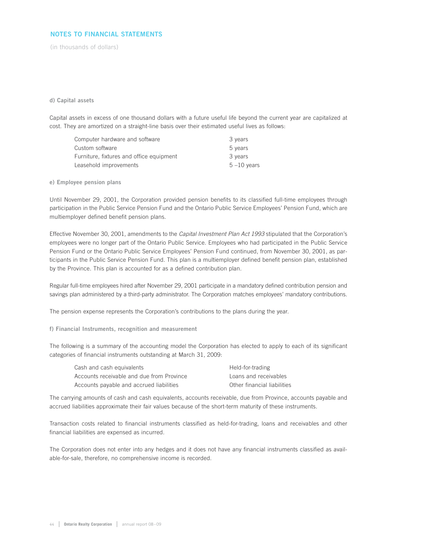(in thousands of dollars)

## **d) Capital assets**

Capital assets in excess of one thousand dollars with a future useful life beyond the current year are capitalized at cost. They are amortized on a straight-line basis over their estimated useful lives as follows:

| Computer hardware and software           | 3 years        |
|------------------------------------------|----------------|
| Custom software                          | 5 years        |
| Furniture, fixtures and office equipment | 3 years        |
| Leasehold improvements                   | $5 - 10$ vears |

**e) Employee pension plans**

Until November 29, 2001, the Corporation provided pension benefits to its classified full-time employees through participation in the Public Service Pension Fund and the Ontario Public Service Employees' Pension Fund, which are multiemployer defined benefit pension plans.

Effective November 30, 2001, amendments to the Capital Investment Plan Act 1993 stipulated that the Corporation's employees were no longer part of the Ontario Public Service. Employees who had participated in the Public Service Pension Fund or the Ontario Public Service Employees' Pension Fund continued, from November 30, 2001, as participants in the Public Service Pension Fund. This plan is a multiemployer defined benefit pension plan, established by the Province. This plan is accounted for as a defined contribution plan.

Regular full-time employees hired after November 29, 2001 participate in a mandatory defined contribution pension and savings plan administered by a third-party administrator. The Corporation matches employees' mandatory contributions.

The pension expense represents the Corporation's contributions to the plans during the year.

**f) Financial Instruments, recognition and measurement**

The following is a summary of the accounting model the Corporation has elected to apply to each of its significant categories of financial instruments outstanding at March 31, 2009:

| Cash and cash equivalents                 | Held-for-trading            |
|-------------------------------------------|-----------------------------|
| Accounts receivable and due from Province | Loans and receivables       |
| Accounts payable and accrued liabilities  | Other financial liabilities |

The carrying amounts of cash and cash equivalents, accounts receivable, due from Province, accounts payable and accrued liabilities approximate their fair values because of the short-term maturity of these instruments.

Transaction costs related to financial instruments classified as held-for-trading, loans and receivables and other financial liabilities are expensed as incurred.

The Corporation does not enter into any hedges and it does not have any financial instruments classified as available-for-sale, therefore, no comprehensive income is recorded.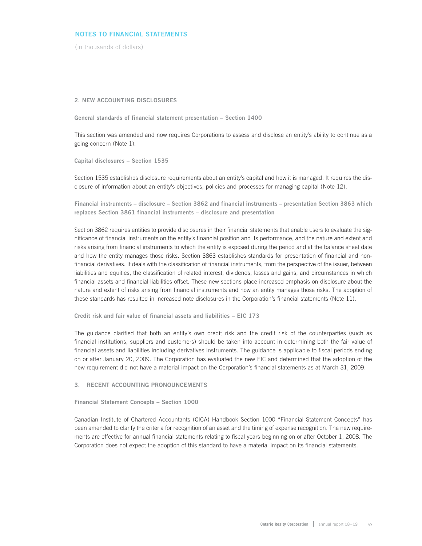(in thousands of dollars)

#### **2. NEW ACCOUNTING DISCLOSURES**

**General standards of financial statement presentation – Section 1400**

This section was amended and now requires Corporations to assess and disclose an entity's ability to continue as a going concern (Note 1).

**Capital disclosures – Section 1535**

Section 1535 establishes disclosure requirements about an entity's capital and how it is managed. It requires the disclosure of information about an entity's objectives, policies and processes for managing capital (Note 12).

**Financial instruments – disclosure – Section 3862 and financial instruments – presentation Section 3863 which replaces Section 3861 financial instruments – disclosure and presentation** 

Section 3862 requires entities to provide disclosures in their financial statements that enable users to evaluate the significance of financial instruments on the entity's financial position and its performance, and the nature and extent and risks arising from financial instruments to which the entity is exposed during the period and at the balance sheet date and how the entity manages those risks. Section 3863 establishes standards for presentation of financial and nonfinancial derivatives. It deals with the classification of financial instruments, from the perspective of the issuer, between liabilities and equities, the classification of related interest, dividends, losses and gains, and circumstances in which financial assets and financial liabilities offset. These new sections place increased emphasis on disclosure about the nature and extent of risks arising from financial instruments and how an entity manages those risks. The adoption of these standards has resulted in increased note disclosures in the Corporation's financial statements (Note 11).

**Credit risk and fair value of financial assets and liabilities – EIC 173**

The guidance clarified that both an entity's own credit risk and the credit risk of the counterparties (such as financial institutions, suppliers and customers) should be taken into account in determining both the fair value of financial assets and liabilities including derivatives instruments. The guidance is applicable to fiscal periods ending on or after January 20, 2009. The Corporation has evaluated the new EIC and determined that the adoption of the new requirement did not have a material impact on the Corporation's financial statements as at March 31, 2009.

## **3. RECENT ACCOUNTING PRONOUNCEMENTS**

**Financial Statement Concepts – Section 1000**

Canadian Institute of Chartered Accountants (CICA) Handbook Section 1000 "Financial Statement Concepts" has been amended to clarify the criteria for recognition of an asset and the timing of expense recognition. The new requirements are effective for annual financial statements relating to fiscal years beginning on or after October 1, 2008. The Corporation does not expect the adoption of this standard to have a material impact on its financial statements.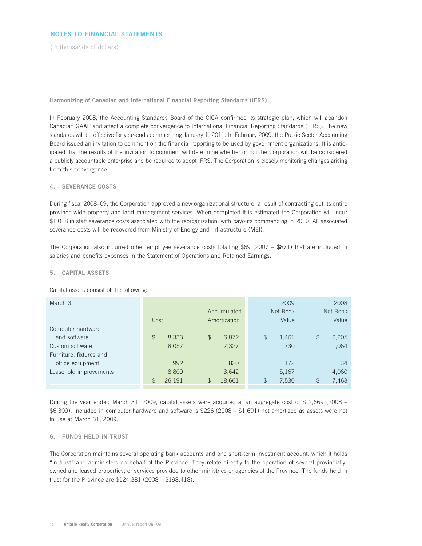(in thousands of dollars)

**Harmonizing of Canadian and International Financial Reporting Standards (IFRS)**

In February 2008, the Accounting Standards Board of the CICA confirmed its strategic plan, which will abandon Canadian GAAP and affect a complete convergence to International Financial Reporting Standards (IFRS). The new standards will be effective for year-ends commencing January 1, 2011. In February 2009, the Public Sector Accounting Board issued an invitation to comment on the financial reporting to be used by government organizations. It is anticipated that the results of the invitation to comment will determine whether or not the Corporation will be considered a publicly accountable enterprise and be required to adopt IFRS. The Corporation is closely monitoring changes arising from this convergence.

## **4. SEVERANCE COSTS**

During fiscal 2008–09, the Corporation approved a new organizational structure, a result of contracting out its entire province-wide property and land management services. When completed it is estimated the Corporation will incur \$1,018 in staff severance costs associated with the reorganization, with payouts commencing in 2010. All associated severance costs will be recovered from Ministry of Energy and Infrastructure (MEI).

The Corporation also incurred other employee severance costs totalling \$69 (2007 – \$871) that are included in salaries and benefits expenses in the Statement of Operations and Retained Earnings.

## **5. CAPITAL ASSETS**

Capital assets consist of the following:

| March 31                |                         |                          |               | 2009        | 2008     |
|-------------------------|-------------------------|--------------------------|---------------|-------------|----------|
|                         |                         | Accumulated              | Net Book      |             | Net Book |
|                         | Cost                    | Amortization             |               | Value       | Value    |
| Computer hardware       |                         |                          |               |             |          |
| and software            | $\mathfrak{P}$<br>8,333 | $\frac{1}{2}$<br>6,872   | $\mathcal{P}$ | \$<br>1,461 | 2,205    |
| Custom software         | 8,057                   | 7,327                    |               | 730         | 1,064    |
| Furniture, fixtures and |                         |                          |               |             |          |
| office equipment        | 992                     | 820                      |               | 172         | 134      |
| Leasehold improvements  | 8,809                   | 3,642                    |               | 5,167       | 4,060    |
|                         | 26,191<br>\$            | $\mathfrak{P}$<br>18,661 | $\mathcal{F}$ | \$<br>7,530 | 7,463    |
|                         |                         |                          |               |             |          |

During the year ended March 31, 2009, capital assets were acquired at an aggregate cost of \$ 2,669 (2008 – \$6,309). Included in computer hardware and software is \$226 (2008 – \$1,691) not amortized as assets were not in use at March 31, 2009.

## **6. FUNDS HELD IN TRUST**

The Corporation maintains several operating bank accounts and one short-term investment account, which it holds "in trust" and administers on behalf of the Province. They relate directly to the operation of several provinciallyowned and leased properties, or services provided to other ministries or agencies of the Province. The funds held in trust for the Province are \$124,381 (2008 – \$198,418).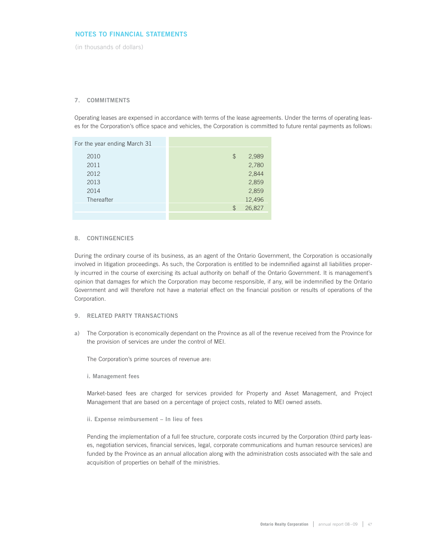(in thousands of dollars)

## **7. COMMITMENTS**

Operating leases are expensed in accordance with terms of the lease agreements. Under the terms of operating leases for the Corporation's office space and vehicles, the Corporation is committed to future rental payments as follows:

| For the year ending March 31 |               |        |
|------------------------------|---------------|--------|
| 2010                         | \$            | 2,989  |
| 2011                         |               | 2,780  |
| 2012                         |               | 2,844  |
| 2013                         |               | 2,859  |
| 2014                         |               | 2,859  |
| Thereafter                   |               | 12,496 |
|                              | $\mathcal{L}$ | 26,827 |
|                              |               |        |

#### **8. CONTINGENCIES**

During the ordinary course of its business, as an agent of the Ontario Government, the Corporation is occasionally involved in litigation proceedings. As such, the Corporation is entitled to be indemnified against all liabilities properly incurred in the course of exercising its actual authority on behalf of the Ontario Government. It is management's opinion that damages for which the Corporation may become responsible, if any, will be indemnified by the Ontario Government and will therefore not have a material effect on the financial position or results of operations of the Corporation.

## **9. RELATED PARTY TRANSACTIONS**

**a)** The Corporation is economically dependant on the Province as all of the revenue received from the Province for the provision of services are under the control of MEI.

The Corporation's prime sources of revenue are:

**i. Management fees**

Market-based fees are charged for services provided for Property and Asset Management, and Project Management that are based on a percentage of project costs, related to MEI owned assets.

**ii. Expense reimbursement – In lieu of fees**

Pending the implementation of a full fee structure, corporate costs incurred by the Corporation (third party leases, negotiation services, financial services, legal, corporate communications and human resource services) are funded by the Province as an annual allocation along with the administration costs associated with the sale and acquisition of properties on behalf of the ministries.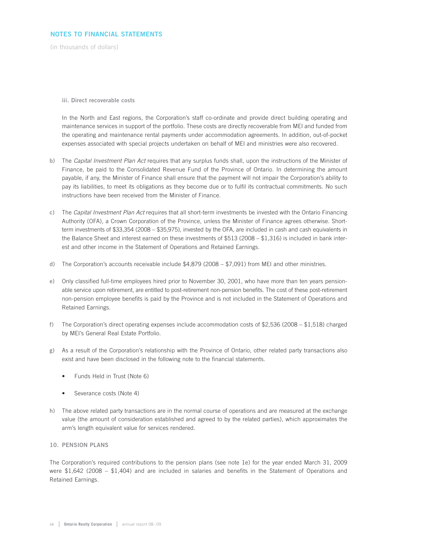(in thousands of dollars)

**iii. Direct recoverable costs**

In the North and East regions, the Corporation's staff co-ordinate and provide direct building operating and maintenance services in support of the portfolio. These costs are directly recoverable from MEI and funded from the operating and maintenance rental payments under accommodation agreements. In addition, out-of-pocket expenses associated with special projects undertaken on behalf of MEI and ministries were also recovered.

- **b)** The Capital Investment Plan Act requires that any surplus funds shall, upon the instructions of the Minister of Finance, be paid to the Consolidated Revenue Fund of the Province of Ontario. In determining the amount payable, if any, the Minister of Finance shall ensure that the payment will not impair the Corporation's ability to pay its liabilities, to meet its obligations as they become due or to fulfil its contractual commitments. No such instructions have been received from the Minister of Finance.
- **c)** The Capital Investment Plan Act requires that all short-term investments be invested with the Ontario Financing Authority (OFA), a Crown Corporation of the Province, unless the Minister of Finance agrees otherwise. Shortterm investments of \$33,354 (2008 – \$35,975), invested by the OFA, are included in cash and cash equivalents in the Balance Sheet and interest earned on these investments of \$513 (2008 – \$1,316) is included in bank interest and other income in the Statement of Operations and Retained Earnings.
- **d)** The Corporation's accounts receivable include \$4,879 (2008 \$7,091) from MEI and other ministries.
- **e)** Only classified full-time employees hired prior to November 30, 2001, who have more than ten years pensionable service upon retirement, are entitled to post-retirement non-pension benefits. The cost of these post-retirement non-pension employee benefits is paid by the Province and is not included in the Statement of Operations and Retained Earnings.
- **f)** The Corporation's direct operating expenses include accommodation costs of \$2,536 (2008 \$1,518) charged by MEI's General Real Estate Portfolio.
- **g)** As a result of the Corporation's relationship with the Province of Ontario, other related party transactions also exist and have been disclosed in the following note to the financial statements.
	- Funds Held in Trust (Note 6)
	- Severance costs (Note 4)
- **h)** The above related party transactions are in the normal course of operations and are measured at the exchange value (the amount of consideration established and agreed to by the related parties), which approximates the arm's length equivalent value for services rendered.

## **10. PENSION PLANS**

The Corporation's required contributions to the pension plans (see note 1e) for the year ended March 31, 2009 were \$1,642 (2008 – \$1,404) and are included in salaries and benefits in the Statement of Operations and Retained Earnings.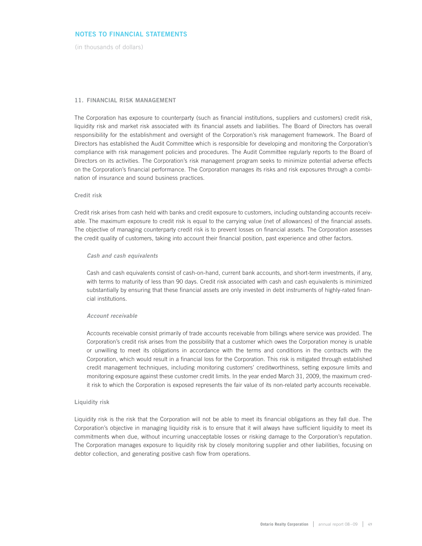(in thousands of dollars)

#### **11. FINANCIAL RISK MANAGEMENT**

The Corporation has exposure to counterparty (such as financial institutions, suppliers and customers) credit risk, liquidity risk and market risk associated with its financial assets and liabilities. The Board of Directors has overall responsibility for the establishment and oversight of the Corporation's risk management framework. The Board of Directors has established the Audit Committee which is responsible for developing and monitoring the Corporation's compliance with risk management policies and procedures. The Audit Committee regularly reports to the Board of Directors on its activities. The Corporation's risk management program seeks to minimize potential adverse effects on the Corporation's financial performance. The Corporation manages its risks and risk exposures through a combination of insurance and sound business practices.

#### **Credit risk**

Credit risk arises from cash held with banks and credit exposure to customers, including outstanding accounts receivable. The maximum exposure to credit risk is equal to the carrying value (net of allowances) of the financial assets. The objective of managing counterparty credit risk is to prevent losses on financial assets. The Corporation assesses the credit quality of customers, taking into account their financial position, past experience and other factors.

#### **Cash and cash equivalents**

Cash and cash equivalents consist of cash-on-hand, current bank accounts, and short-term investments, if any, with terms to maturity of less than 90 days. Credit risk associated with cash and cash equivalents is minimized substantially by ensuring that these financial assets are only invested in debt instruments of highly-rated financial institutions.

#### **Account receivable**

Accounts receivable consist primarily of trade accounts receivable from billings where service was provided. The Corporation's credit risk arises from the possibility that a customer which owes the Corporation money is unable or unwilling to meet its obligations in accordance with the terms and conditions in the contracts with the Corporation, which would result in a financial loss for the Corporation. This risk is mitigated through established credit management techniques, including monitoring customers' creditworthiness, setting exposure limits and monitoring exposure against these customer credit limits. In the year ended March 31, 2009, the maximum credit risk to which the Corporation is exposed represents the fair value of its non-related party accounts receivable.

#### **Liquidity risk**

Liquidity risk is the risk that the Corporation will not be able to meet its financial obligations as they fall due. The Corporation's objective in managing liquidity risk is to ensure that it will always have sufficient liquidity to meet its commitments when due, without incurring unacceptable losses or risking damage to the Corporation's reputation. The Corporation manages exposure to liquidity risk by closely monitoring supplier and other liabilities, focusing on debtor collection, and generating positive cash flow from operations.